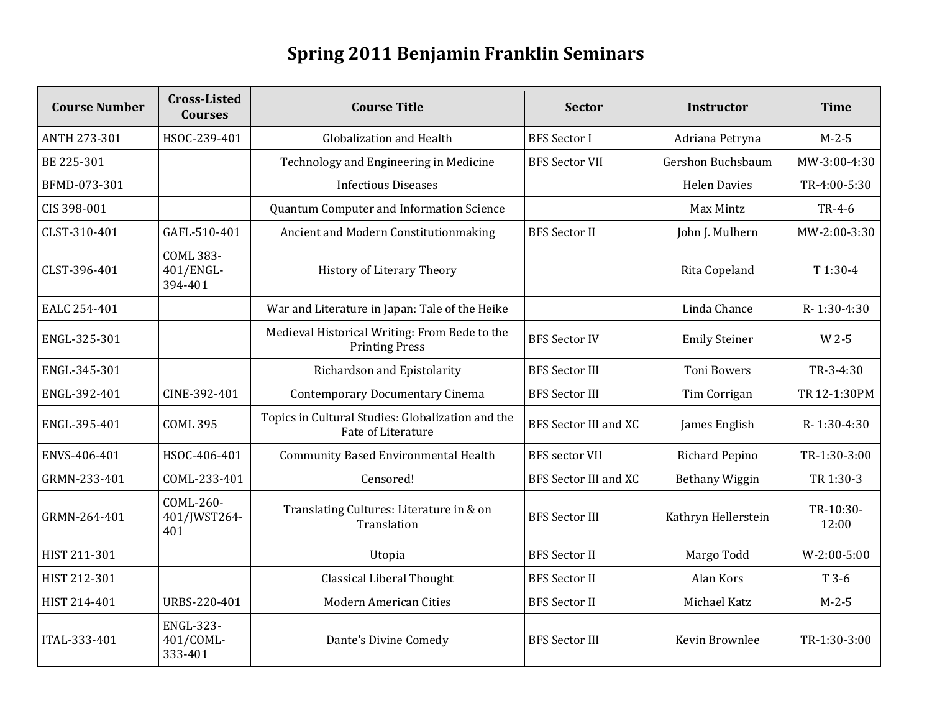## **Spring 2011 Benjamin Franklin Seminars**

| <b>Course Number</b> | <b>Cross-Listed</b><br><b>Courses</b>    | <b>Course Title</b>                                                     | <b>Sector</b>                | Instructor            | <b>Time</b>        |
|----------------------|------------------------------------------|-------------------------------------------------------------------------|------------------------------|-----------------------|--------------------|
| <b>ANTH 273-301</b>  | HSOC-239-401                             | Globalization and Health                                                | <b>BFS Sector I</b>          | Adriana Petryna       | $M - 2 - 5$        |
| BE 225-301           |                                          | Technology and Engineering in Medicine                                  | <b>BFS Sector VII</b>        | Gershon Buchsbaum     | MW-3:00-4:30       |
| BFMD-073-301         |                                          | <b>Infectious Diseases</b>                                              |                              | <b>Helen Davies</b>   | TR-4:00-5:30       |
| CIS 398-001          |                                          | Quantum Computer and Information Science                                |                              | Max Mintz             | TR-4-6             |
| CLST-310-401         | GAFL-510-401                             | Ancient and Modern Constitutionmaking                                   | <b>BFS Sector II</b>         | John J. Mulhern       | MW-2:00-3:30       |
| CLST-396-401         | <b>COML 383-</b><br>401/ENGL-<br>394-401 | <b>History of Literary Theory</b>                                       |                              | Rita Copeland         | T 1:30-4           |
| EALC 254-401         |                                          | War and Literature in Japan: Tale of the Heike                          |                              | Linda Chance          | R-1:30-4:30        |
| ENGL-325-301         |                                          | Medieval Historical Writing: From Bede to the<br><b>Printing Press</b>  | <b>BFS Sector IV</b>         | <b>Emily Steiner</b>  | W 2-5              |
| ENGL-345-301         |                                          | Richardson and Epistolarity                                             | <b>BFS Sector III</b>        | <b>Toni Bowers</b>    | TR-3-4:30          |
| ENGL-392-401         | CINE-392-401                             | <b>Contemporary Documentary Cinema</b>                                  | <b>BFS</b> Sector III        | Tim Corrigan          | TR 12-1:30PM       |
| ENGL-395-401         | <b>COML 395</b>                          | Topics in Cultural Studies: Globalization and the<br>Fate of Literature | <b>BFS Sector III and XC</b> | James English         | R-1:30-4:30        |
| ENVS-406-401         | HSOC-406-401                             | <b>Community Based Environmental Health</b>                             | <b>BFS</b> sector VII        | <b>Richard Pepino</b> | TR-1:30-3:00       |
| GRMN-233-401         | COML-233-401                             | Censored!                                                               | <b>BFS Sector III and XC</b> | Bethany Wiggin        | TR 1:30-3          |
| GRMN-264-401         | COML-260-<br>401/JWST264-<br>401         | Translating Cultures: Literature in & on<br>Translation                 | <b>BFS Sector III</b>        | Kathryn Hellerstein   | TR-10:30-<br>12:00 |
| HIST 211-301         |                                          | Utopia                                                                  | <b>BFS</b> Sector II         | Margo Todd            | $W-2:00-5:00$      |
| HIST 212-301         |                                          | <b>Classical Liberal Thought</b>                                        | <b>BFS</b> Sector II         | Alan Kors             | T 3-6              |
| HIST 214-401         | URBS-220-401                             | <b>Modern American Cities</b>                                           | <b>BFS</b> Sector II         | Michael Katz          | $M-2-5$            |
| ITAL-333-401         | <b>ENGL-323-</b><br>401/COML-<br>333-401 | Dante's Divine Comedy                                                   | <b>BFS Sector III</b>        | Kevin Brownlee        | TR-1:30-3:00       |